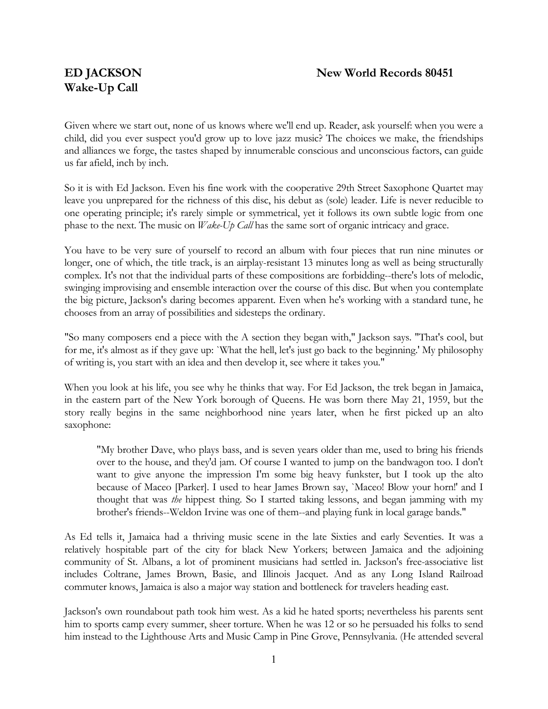# **Wake-Up Call**

Given where we start out, none of us knows where we'll end up. Reader, ask yourself: when you were a child, did you ever suspect you'd grow up to love jazz music? The choices we make, the friendships and alliances we forge, the tastes shaped by innumerable conscious and unconscious factors, can guide us far afield, inch by inch.

So it is with Ed Jackson. Even his fine work with the cooperative 29th Street Saxophone Quartet may leave you unprepared for the richness of this disc, his debut as (sole) leader. Life is never reducible to one operating principle; it's rarely simple or symmetrical, yet it follows its own subtle logic from one phase to the next. The music on *Wake-Up Call* has the same sort of organic intricacy and grace.

You have to be very sure of yourself to record an album with four pieces that run nine minutes or longer, one of which, the title track, is an airplay-resistant 13 minutes long as well as being structurally complex. It's not that the individual parts of these compositions are forbidding--there's lots of melodic, swinging improvising and ensemble interaction over the course of this disc. But when you contemplate the big picture, Jackson's daring becomes apparent. Even when he's working with a standard tune, he chooses from an array of possibilities and sidesteps the ordinary.

"So many composers end a piece with the A section they began with," Jackson says. "That's cool, but for me, it's almost as if they gave up: `What the hell, let's just go back to the beginning.' My philosophy of writing is, you start with an idea and then develop it, see where it takes you."

When you look at his life, you see why he thinks that way. For Ed Jackson, the trek began in Jamaica, in the eastern part of the New York borough of Queens. He was born there May 21, 1959, but the story really begins in the same neighborhood nine years later, when he first picked up an alto saxophone:

"My brother Dave, who plays bass, and is seven years older than me, used to bring his friends over to the house, and they'd jam. Of course I wanted to jump on the bandwagon too. I don't want to give anyone the impression I'm some big heavy funkster, but I took up the alto because of Maceo [Parker]. I used to hear James Brown say, `Maceo! Blow your horn!' and I thought that was *the* hippest thing. So I started taking lessons, and began jamming with my brother's friends--Weldon Irvine was one of them--and playing funk in local garage bands."

As Ed tells it, Jamaica had a thriving music scene in the late Sixties and early Seventies. It was a relatively hospitable part of the city for black New Yorkers; between Jamaica and the adjoining community of St. Albans, a lot of prominent musicians had settled in. Jackson's free-associative list includes Coltrane, James Brown, Basie, and Illinois Jacquet. And as any Long Island Railroad commuter knows, Jamaica is also a major way station and bottleneck for travelers heading east.

Jackson's own roundabout path took him west. As a kid he hated sports; nevertheless his parents sent him to sports camp every summer, sheer torture. When he was 12 or so he persuaded his folks to send him instead to the Lighthouse Arts and Music Camp in Pine Grove, Pennsylvania. (He attended several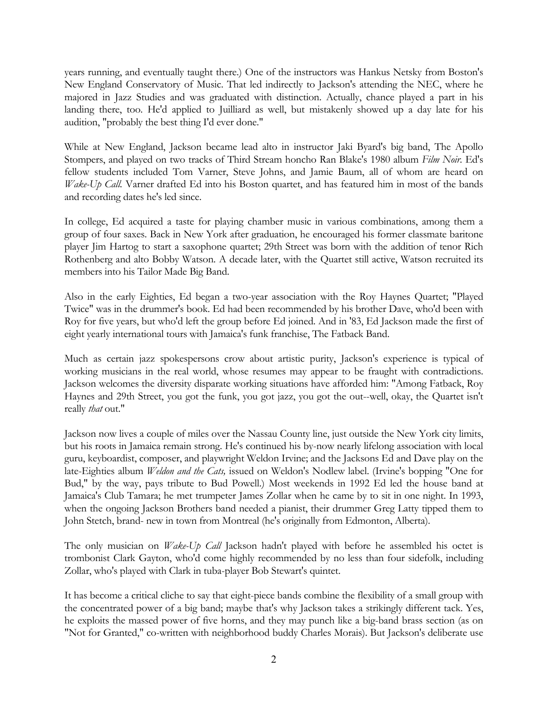years running, and eventually taught there.) One of the instructors was Hankus Netsky from Boston's New England Conservatory of Music. That led indirectly to Jackson's attending the NEC, where he majored in Jazz Studies and was graduated with distinction. Actually, chance played a part in his landing there, too. He'd applied to Juilliard as well, but mistakenly showed up a day late for his audition, "probably the best thing I'd ever done."

While at New England, Jackson became lead alto in instructor Jaki Byard's big band, The Apollo Stompers, and played on two tracks of Third Stream honcho Ran Blake's 1980 album *Film Noir*. Ed's fellow students included Tom Varner, Steve Johns, and Jamie Baum, all of whom are heard on *Wake-Up Call.* Varner drafted Ed into his Boston quartet, and has featured him in most of the bands and recording dates he's led since.

In college, Ed acquired a taste for playing chamber music in various combinations, among them a group of four saxes. Back in New York after graduation, he encouraged his former classmate baritone player Jim Hartog to start a saxophone quartet; 29th Street was born with the addition of tenor Rich Rothenberg and alto Bobby Watson. A decade later, with the Quartet still active, Watson recruited its members into his Tailor Made Big Band.

Also in the early Eighties, Ed began a two-year association with the Roy Haynes Quartet; "Played Twice" was in the drummer's book. Ed had been recommended by his brother Dave, who'd been with Roy for five years, but who'd left the group before Ed joined. And in '83, Ed Jackson made the first of eight yearly international tours with Jamaica's funk franchise, The Fatback Band.

Much as certain jazz spokespersons crow about artistic purity, Jackson's experience is typical of working musicians in the real world, whose resumes may appear to be fraught with contradictions. Jackson welcomes the diversity disparate working situations have afforded him: "Among Fatback, Roy Haynes and 29th Street, you got the funk, you got jazz, you got the out--well, okay, the Quartet isn't really *that* out."

Jackson now lives a couple of miles over the Nassau County line, just outside the New York city limits, but his roots in Jamaica remain strong. He's continued his by-now nearly lifelong association with local guru, keyboardist, composer, and playwright Weldon Irvine; and the Jacksons Ed and Dave play on the late-Eighties album *Weldon and the Cats,* issued on Weldon's Nodlew label. (Irvine's bopping "One for Bud," by the way, pays tribute to Bud Powell.) Most weekends in 1992 Ed led the house band at Jamaica's Club Tamara; he met trumpeter James Zollar when he came by to sit in one night. In 1993, when the ongoing Jackson Brothers band needed a pianist, their drummer Greg Latty tipped them to John Stetch, brand- new in town from Montreal (he's originally from Edmonton, Alberta).

The only musician on *Wake-Up Call* Jackson hadn't played with before he assembled his octet is trombonist Clark Gayton, who'd come highly recommended by no less than four sidefolk, including Zollar, who's played with Clark in tuba-player Bob Stewart's quintet.

It has become a critical cliche to say that eight-piece bands combine the flexibility of a small group with the concentrated power of a big band; maybe that's why Jackson takes a strikingly different tack. Yes, he exploits the massed power of five horns, and they may punch like a big-band brass section (as on "Not for Granted," co-written with neighborhood buddy Charles Morais). But Jackson's deliberate use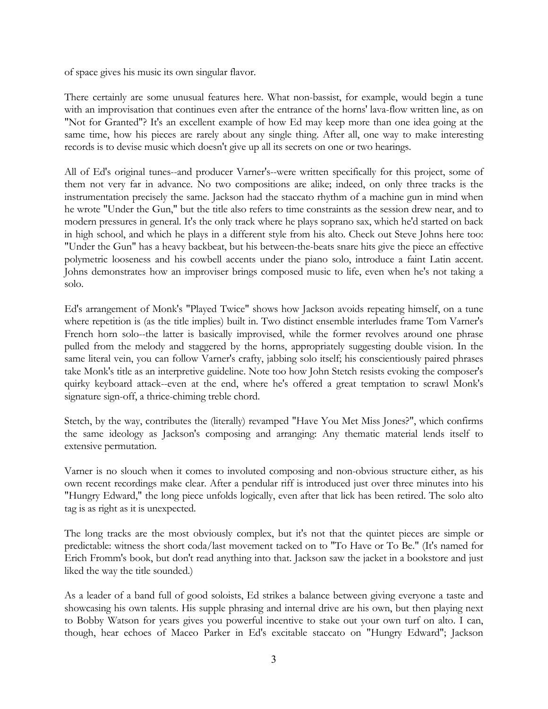of space gives his music its own singular flavor.

There certainly are some unusual features here. What non-bassist, for example, would begin a tune with an improvisation that continues even after the entrance of the horns' lava-flow written line, as on "Not for Granted"? It's an excellent example of how Ed may keep more than one idea going at the same time, how his pieces are rarely about any single thing. After all, one way to make interesting records is to devise music which doesn't give up all its secrets on one or two hearings.

All of Ed's original tunes--and producer Varner's--were written specifically for this project, some of them not very far in advance. No two compositions are alike; indeed, on only three tracks is the instrumentation precisely the same. Jackson had the staccato rhythm of a machine gun in mind when he wrote "Under the Gun," but the title also refers to time constraints as the session drew near, and to modern pressures in general. It's the only track where he plays soprano sax, which he'd started on back in high school, and which he plays in a different style from his alto. Check out Steve Johns here too: "Under the Gun" has a heavy backbeat, but his between-the-beats snare hits give the piece an effective polymetric looseness and his cowbell accents under the piano solo, introduce a faint Latin accent. Johns demonstrates how an improviser brings composed music to life, even when he's not taking a solo.

Ed's arrangement of Monk's "Played Twice" shows how Jackson avoids repeating himself, on a tune where repetition is (as the title implies) built in. Two distinct ensemble interludes frame Tom Varner's French horn solo--the latter is basically improvised, while the former revolves around one phrase pulled from the melody and staggered by the horns, appropriately suggesting double vision. In the same literal vein, you can follow Varner's crafty, jabbing solo itself; his conscientiously paired phrases take Monk's title as an interpretive guideline. Note too how John Stetch resists evoking the composer's quirky keyboard attack--even at the end, where he's offered a great temptation to scrawl Monk's signature sign-off, a thrice-chiming treble chord.

Stetch, by the way, contributes the (literally) revamped "Have You Met Miss Jones?", which confirms the same ideology as Jackson's composing and arranging: Any thematic material lends itself to extensive permutation.

Varner is no slouch when it comes to involuted composing and non-obvious structure either, as his own recent recordings make clear. After a pendular riff is introduced just over three minutes into his "Hungry Edward," the long piece unfolds logically, even after that lick has been retired. The solo alto tag is as right as it is unexpected.

The long tracks are the most obviously complex, but it's not that the quintet pieces are simple or predictable: witness the short coda/last movement tacked on to "To Have or To Be." (It's named for Erich Fromm's book, but don't read anything into that. Jackson saw the jacket in a bookstore and just liked the way the title sounded.)

As a leader of a band full of good soloists, Ed strikes a balance between giving everyone a taste and showcasing his own talents. His supple phrasing and internal drive are his own, but then playing next to Bobby Watson for years gives you powerful incentive to stake out your own turf on alto. I can, though, hear echoes of Maceo Parker in Ed's excitable staccato on "Hungry Edward"; Jackson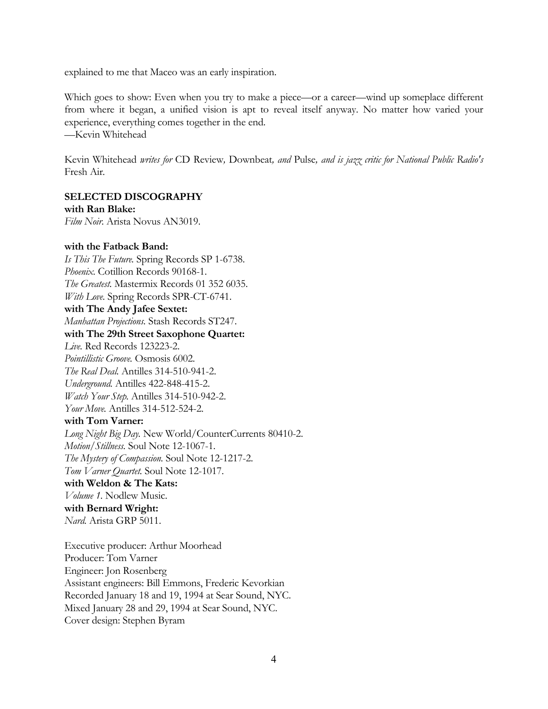explained to me that Maceo was an early inspiration.

Which goes to show: Even when you try to make a piece—or a career—wind up someplace different from where it began, a unified vision is apt to reveal itself anyway. No matter how varied your experience, everything comes together in the end. —Kevin Whitehead

Kevin Whitehead *writes for* CD Review*,* Downbeat*, and* Pulse*, and is jazz critic for National Public Radio's* Fresh Air*.* 

#### **SELECTED DISCOGRAPHY with Ran Blake:**

*Film Noir.* Arista Novus AN3019.

## **with the Fatback Band:**

*Is This The Future.* Spring Records SP 1-6738. *Phoenix.* Cotillion Records 90168-1. *The Greatest.* Mastermix Records 01 352 6035. *With Love.* Spring Records SPR-CT-6741. **with The Andy Jafee Sextet:** *Manhattan Projections.* Stash Records ST247. **with The 29th Street Saxophone Quartet:** *Live.* Red Records 123223-2. *Pointillistic Groove.* Osmosis 6002. *The Real Deal.* Antilles 314-510-941-2. *Underground.* Antilles 422-848-415-2. *Watch Your Step.* Antilles 314-510-942-2. *Your Move.* Antilles 314-512-524-2. **with Tom Varner:** *Long Night Big Day.* New World/CounterCurrents 80410-2. *Motion/Stillness.* Soul Note 12-1067-1. *The Mystery of Compassion.* Soul Note 12-1217-2. *Tom Varner Quartet.* Soul Note 12-1017. **with Weldon & The Kats:** *Volume 1.* Nodlew Music. **with Bernard Wright:** *Nard.* Arista GRP 5011.

Executive producer: Arthur Moorhead Producer: Tom Varner Engineer: Jon Rosenberg Assistant engineers: Bill Emmons, Frederic Kevorkian Recorded January 18 and 19, 1994 at Sear Sound, NYC. Mixed January 28 and 29, 1994 at Sear Sound, NYC. Cover design: Stephen Byram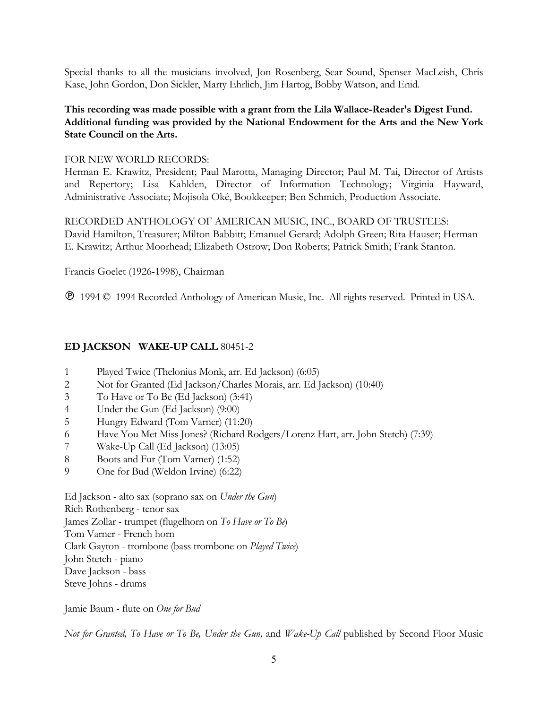Special thanks to all the musicians involved, Jon Rosenberg, Sear Sound, Spenser MacLeish, Chris Kase, John Gordon, Don Sickler, Marty Ehrlich, Jim Hartog, Bobby Watson, and Enid.

# **This recording was made possible with a grant from the Lila Wallace-Reader's Digest Fund. Additional funding was provided by the National Endowment for the Arts and the New York State Council on the Arts.**

#### FOR NEW WORLD RECORDS:

Herman E. Krawitz, President; Paul Marotta, Managing Director; Paul M. Tai, Director of Artists and Repertory; Lisa Kahlden, Director of Information Technology; Virginia Hayward, Administrative Associate; Mojisola Oké, Bookkeeper; Ben Schmich, Production Associate.

RECORDED ANTHOLOGY OF AMERICAN MUSIC, INC., BOARD OF TRUSTEES: David Hamilton, Treasurer; Milton Babbitt; Emanuel Gerard; Adolph Green; Rita Hauser; Herman E. Krawitz; Arthur Moorhead; Elizabeth Ostrow; Don Roberts; Patrick Smith; Frank Stanton.

Francis Goelet (1926-1998), Chairman

1994 © 1994 Recorded Anthology of American Music, Inc. All rights reserved. Printed in USA.

## **ED JACKSON WAKE-UP CALL** 80451-2

- 1 Played Twice (Thelonius Monk, arr. Ed Jackson) (6:05)
- 2 Not for Granted (Ed Jackson/Charles Morais, arr. Ed Jackson) (10:40)
- 3 To Have or To Be (Ed Jackson) (3:41)
- 4 Under the Gun (Ed Jackson) (9:00)
- 5 Hungry Edward (Tom Varner) (11:20)
- 6 Have You Met Miss Jones? (Richard Rodgers/Lorenz Hart, arr. John Stetch) (7:39)
- 7 Wake-Up Call (Ed Jackson) (13:05)
- 8 Boots and Fur (Tom Varner) (1:52)
- 9 One for Bud (Weldon Irvine) (6:22)

Ed Jackson - alto sax (soprano sax on *Under the Gun*) Rich Rothenberg - tenor sax James Zollar - trumpet (flugelhorn on *To Have or To Be*) Tom Varner - French horn Clark Gayton - trombone (bass trombone on *Played Twice*) John Stetch - piano Dave Jackson - bass Steve Johns - drums

Jamie Baum - flute on *One for Bud*

*Not for Granted, To Have or To Be, Under the Gun,* and *Wake-Up Call* published by Second Floor Music